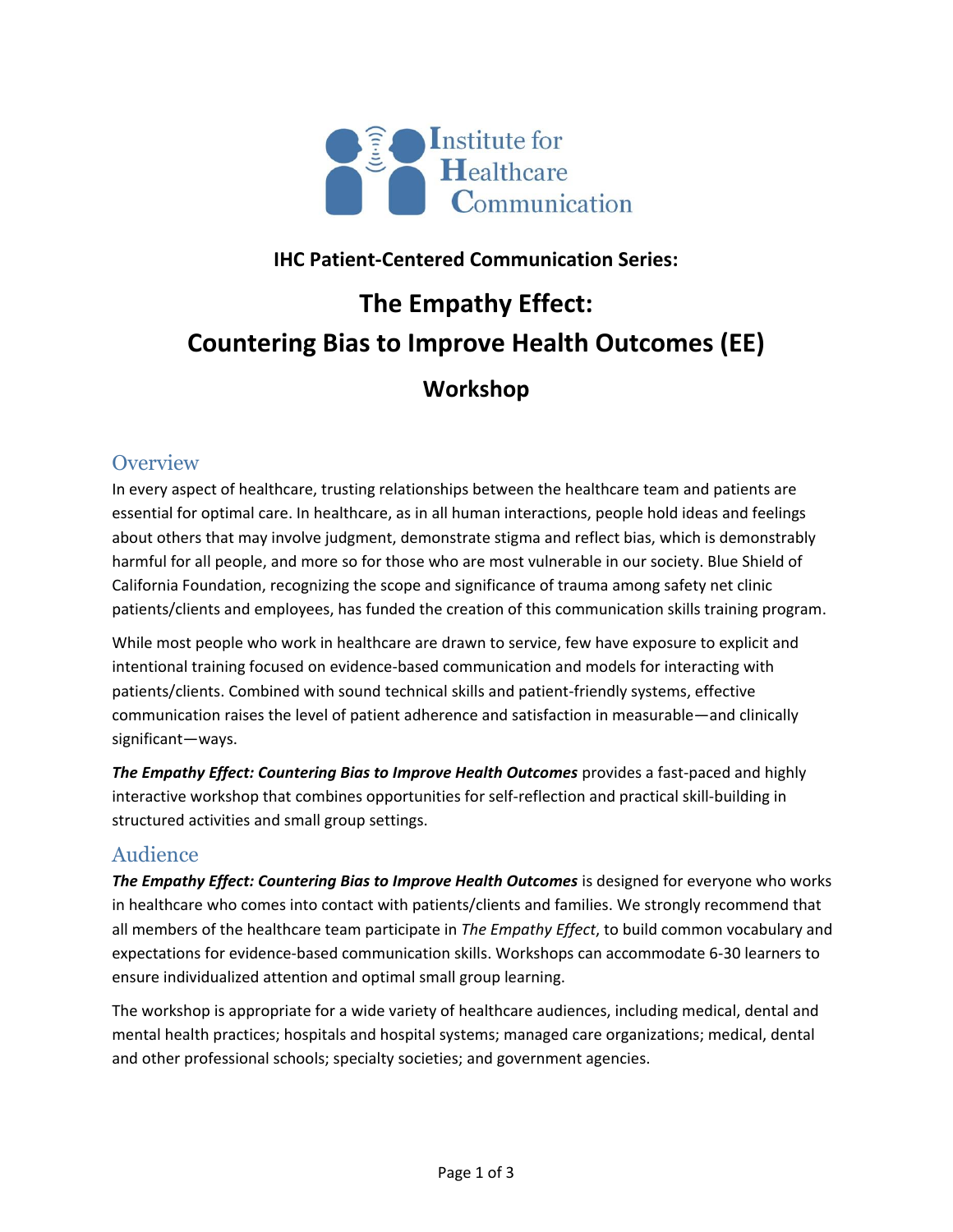

## **IHC Patient-Centered Communication Series:**

# **The Empathy Effect: Countering Bias to Improve Health Outcomes (EE)**

**Workshop**

#### **Overview**

In every aspect of healthcare, trusting relationships between the healthcare team and patients are essential for optimal care. In healthcare, as in all human interactions, people hold ideas and feelings about others that may involve judgment, demonstrate stigma and reflect bias, which is demonstrably harmful for all people, and more so for those who are most vulnerable in our society. Blue Shield of California Foundation, recognizing the scope and significance of trauma among safety net clinic patients/clients and employees, has funded the creation of this communication skills training program.

While most people who work in healthcare are drawn to service, few have exposure to explicit and intentional training focused on evidence-based communication and models for interacting with patients/clients. Combined with sound technical skills and patient-friendly systems, effective communication raises the level of patient adherence and satisfaction in measurable—and clinically significant—ways.

*The Empathy Effect: Countering Bias to Improve Health Outcomes* provides a fast-paced and highly interactive workshop that combines opportunities for self-reflection and practical skill-building in structured activities and small group settings.

### Audience

*The Empathy Effect: Countering Bias to Improve Health Outcomes* is designed for everyone who works in healthcare who comes into contact with patients/clients and families. We strongly recommend that all members of the healthcare team participate in *The Empathy Effect*, to build common vocabulary and expectations for evidence-based communication skills. Workshops can accommodate 6-30 learners to ensure individualized attention and optimal small group learning.

The workshop is appropriate for a wide variety of healthcare audiences, including medical, dental and mental health practices; hospitals and hospital systems; managed care organizations; medical, dental and other professional schools; specialty societies; and government agencies.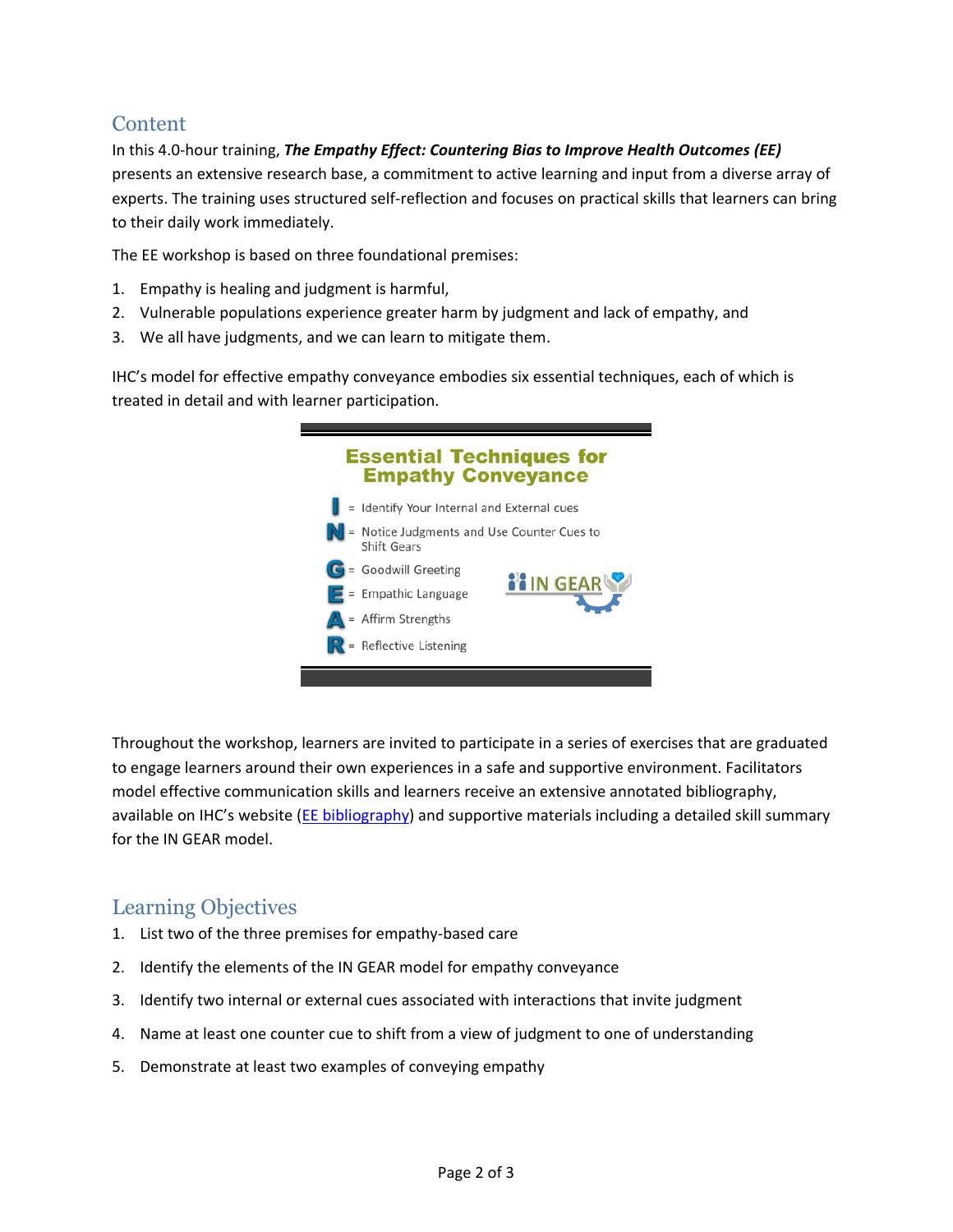### **Content**

In this 4.0-hour training, *The Empathy Effect: Countering Bias to Improve Health Outcomes (EE)* presents an extensive research base, a commitment to active learning and input from a diverse array of experts. The training uses structured self-reflection and focuses on practical skills that learners can bring to their daily work immediately.

The EE workshop is based on three foundational premises:

- 1. Empathy is healing and judgment is harmful,
- 2. Vulnerable populations experience greater harm by judgment and lack of empathy, and
- 3. We all have judgments, and we can learn to mitigate them.

IHC's model for effective empathy conveyance embodies six essential techniques, each of which is treated in detail and with learner participation.



Throughout the workshop, learners are invited to participate in a series of exercises that are graduated to engage learners around their own experiences in a safe and supportive environment. Facilitators model effective communication skills and learners receive an extensive annotated bibliography, available on IHC's website ([EE bibliography\)](http://healthcarecomm.org/wp-content/uploads/2011/05/Empathy-Effect-bibliography_3-22-17.pdf) and supportive materials including a detailed skill summary for the IN GEAR model.

#### Learning Objectives

- 1. List two of the three premises for empathy-based care
- 2. Identify the elements of the IN GEAR model for empathy conveyance
- 3. Identify two internal or external cues associated with interactions that invite judgment
- 4. Name at least one counter cue to shift from a view of judgment to one of understanding
- 5. Demonstrate at least two examples of conveying empathy